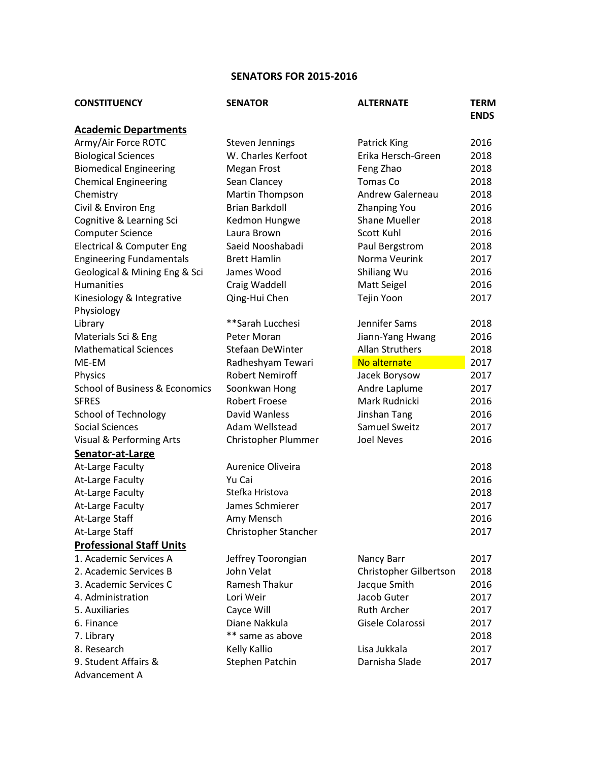## **SENATORS FOR 2015-2016**

| <b>CONSTITUENCY</b>                       | <b>SENATOR</b>          | <b>ALTERNATE</b>        | <b>TERM</b><br><b>ENDS</b> |
|-------------------------------------------|-------------------------|-------------------------|----------------------------|
| <b>Academic Departments</b>               |                         |                         |                            |
| Army/Air Force ROTC                       | <b>Steven Jennings</b>  | <b>Patrick King</b>     | 2016                       |
| <b>Biological Sciences</b>                | W. Charles Kerfoot      | Erika Hersch-Green      | 2018                       |
| <b>Biomedical Engineering</b>             | Megan Frost             | Feng Zhao               | 2018                       |
| <b>Chemical Engineering</b>               | Sean Clancey            | Tomas Co                | 2018                       |
| Chemistry                                 | Martin Thompson         | <b>Andrew Galerneau</b> | 2018                       |
| Civil & Environ Eng                       | <b>Brian Barkdoll</b>   | <b>Zhanping You</b>     | 2016                       |
| Cognitive & Learning Sci                  | Kedmon Hungwe           | Shane Mueller           | 2018                       |
| <b>Computer Science</b>                   | Laura Brown             | Scott Kuhl              | 2016                       |
| <b>Electrical &amp; Computer Eng</b>      | Saeid Nooshabadi        | Paul Bergstrom          | 2018                       |
| <b>Engineering Fundamentals</b>           | <b>Brett Hamlin</b>     | Norma Veurink           | 2017                       |
| Geological & Mining Eng & Sci             | James Wood              | Shiliang Wu             | 2016                       |
| <b>Humanities</b>                         | Craig Waddell           | Matt Seigel             | 2016                       |
| Kinesiology & Integrative                 | Qing-Hui Chen           | Tejin Yoon              | 2017                       |
| Physiology                                |                         |                         |                            |
| Library                                   | **Sarah Lucchesi        | Jennifer Sams           | 2018                       |
| Materials Sci & Eng                       | Peter Moran             | Jiann-Yang Hwang        | 2016                       |
| <b>Mathematical Sciences</b>              | <b>Stefaan DeWinter</b> | <b>Allan Struthers</b>  | 2018                       |
| ME-EM                                     | Radheshyam Tewari       | No alternate            | 2017                       |
| Physics                                   | <b>Robert Nemiroff</b>  | Jacek Borysow           | 2017                       |
| <b>School of Business &amp; Economics</b> | Soonkwan Hong           | Andre Laplume           | 2017                       |
| <b>SFRES</b>                              | <b>Robert Froese</b>    | Mark Rudnicki           | 2016                       |
| <b>School of Technology</b>               | David Wanless           | Jinshan Tang            | 2016                       |
| Social Sciences                           | Adam Wellstead          | Samuel Sweitz           | 2017                       |
| Visual & Performing Arts                  | Christopher Plummer     | <b>Joel Neves</b>       | 2016                       |
| Senator-at-Large                          |                         |                         |                            |
| At-Large Faculty                          | Aurenice Oliveira       |                         | 2018                       |
| At-Large Faculty                          | Yu Cai                  |                         | 2016                       |
| At-Large Faculty                          | Stefka Hristova         |                         | 2018                       |
| At-Large Faculty                          | James Schmierer         |                         | 2017                       |
| At-Large Staff                            | Amy Mensch              |                         | 2016                       |
| At-Large Staff                            | Christopher Stancher    |                         | 2017                       |
| <b>Professional Staff Units</b>           |                         |                         |                            |
| 1. Academic Services A                    | Jeffrey Toorongian      | Nancy Barr              | 2017                       |
| 2. Academic Services B                    | John Velat              | Christopher Gilbertson  | 2018                       |
| 3. Academic Services C                    | Ramesh Thakur           | Jacque Smith            | 2016                       |
| 4. Administration                         | Lori Weir               | Jacob Guter             | 2017                       |
| 5. Auxiliaries                            | Cayce Will              | <b>Ruth Archer</b>      | 2017                       |
| 6. Finance                                | Diane Nakkula           | Gisele Colarossi        | 2017                       |
| 7. Library                                | ** same as above        |                         | 2018                       |
| 8. Research                               | Kelly Kallio            | Lisa Jukkala            | 2017                       |
| 9. Student Affairs &                      | Stephen Patchin         | Darnisha Slade          | 2017                       |
| Advancement A                             |                         |                         |                            |